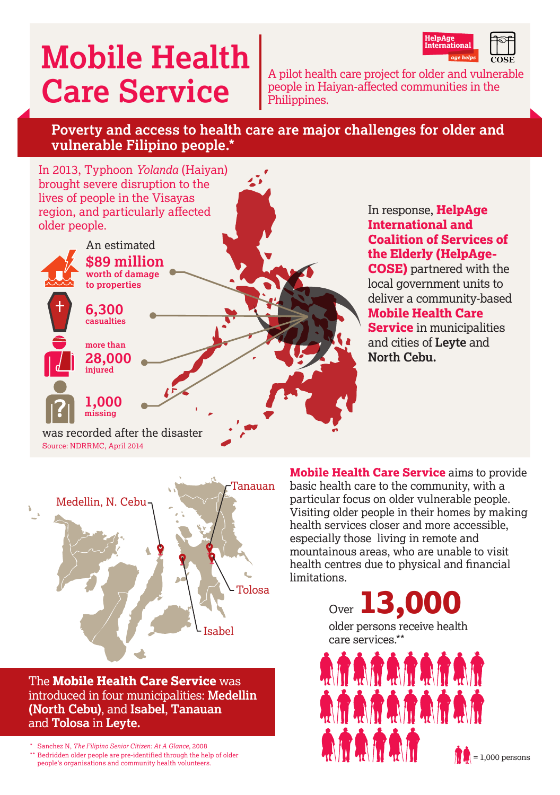# **Mobile Health**

HelpAge<br>Internationa

**Care Service** A pilot health care project for older and vulnerable people in Haiyan‑affected communities in the Philippines.

## **Poverty and access to health care are major challenges for older and vulnerable Filipino people.\***





The **Mobile Health Care Service** was introduced in four municipalities: **Medellin (North Cebu)**, and **Isabel**, **Tanauan** and **Tolosa** in **Leyte.** 

\* Sanchez N, *The Filipino Senior Citizen: At A Glance*, 2008 \*\* Bedridden older people are pre-identified through the help of older people's organisations and community health volunteers.

**Mobile Health Care Service** aims to provide basic health care to the community, with a particular focus on older vulnerable people. Visiting older people in their homes by making health services closer and more accessible, especially those living in remote and mountainous areas, who are unable to visit health centres due to physical and financial limitations.

> Over **13,000**  older persons receive health care services.\*\* **ATATATATAT** 热度热度热度热度热度

**ARARAR** 

 $= 1,000$  persons